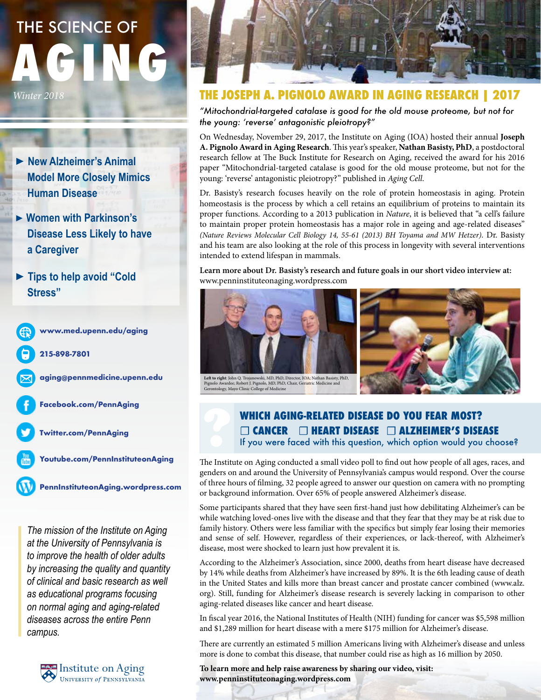# **AGING** THE SCIENCE OF

*Winter 2018*

- ▶ **New Alzheimer's Animal Model More Closely Mimics Human Disease**
- ▶ **Women with Parkinson's Disease Less Likely to have a Caregiver**
- ▶ **Tips to help avoid "Cold Stress"**



*The mission of the Institute on Aging at the University of Pennsylvania is to improve the health of older adults by increasing the quality and quantity of clinical and basic research as well as educational programs focusing on normal aging and aging-related diseases across the entire Penn campus.*





## **THE JOSEPH A. PIGNOLO AWARD IN AGING RESEARCH | 2017**

*"Mitochondrial-targeted catalase is good for the old mouse proteome, but not for the young: 'reverse' antagonistic pleiotropy?"*

On Wednesday, November 29, 2017, the Institute on Aging (IOA) hosted their annual **Joseph A. Pignolo Award in Aging Research**. This year's speaker, **Nathan Basisty, PhD**, a postdoctoral research fellow at The Buck Institute for Research on Aging, received the award for his 2016 paper "Mitochondrial-targeted catalase is good for the old mouse proteome, but not for the young: 'reverse' antagonistic pleiotropy?" published in *Aging Cell*.

Dr. Basisty's research focuses heavily on the role of protein homeostasis in aging. Protein homeostasis is the process by which a cell retains an equilibrium of proteins to maintain its proper functions. According to a 2013 publication in *Nature*, it is believed that "a cell's failure to maintain proper protein homeostasis has a major role in ageing and age-related diseases" *(Nature Reviews Molecular Cell Biology 14, 55-61 (2013) BH Toyama and MW Hetzer)*. Dr. Basisty and his team are also looking at the role of this process in longevity with several interventions intended to extend lifespan in mammals.

**Learn more about Dr. Basisty's research and future goals in our short video interview at:** www.penninstituteonaging.wordpress.com





## **WHICH AGING-RELATED DISEASE DO YOU FEAR MOST?** ☐ **CANCER** ☐ **HEART DISEASE** ☐ **ALZHEIMER'S DISEASE** If you were faced with this question, which option would you choose?

The Institute on Aging conducted a small video poll to find out how people of all ages, races, and genders on and around the University of Pennsylvania's campus would respond. Over the course of three hours of filming, 32 people agreed to answer our question on camera with no prompting or background information. Over 65% of people answered Alzheimer's disease.

Some participants shared that they have seen first-hand just how debilitating Alzheimer's can be while watching loved-ones live with the disease and that they fear that they may be at risk due to family history. Others were less familiar with the specifics but simply fear losing their memories and sense of self. However, regardless of their experiences, or lack-thereof, with Alzheimer's disease, most were shocked to learn just how prevalent it is.

According to the Alzheimer's Association, since 2000, deaths from heart disease have decreased by 14% while deaths from Alzheimer's have increased by 89%. It is the 6th leading cause of death in the United States and kills more than breast cancer and prostate cancer combined (www.alz. org). Still, funding for Alzheimer's disease research is severely lacking in comparison to other aging-related diseases like cancer and heart disease.

In fiscal year 2016, the National Institutes of Health (NIH) funding for cancer was \$5,598 million and \$1,289 million for heart disease with a mere \$175 million for Alzheimer's disease.

There are currently an estimated 5 million Americans living with Alzheimer's disease and unless more is done to combat this disease, that number could rise as high as 16 million by 2050.

**To learn more and help raise awareness by sharing our video, visit: www.penninstituteonaging.wordpress.com**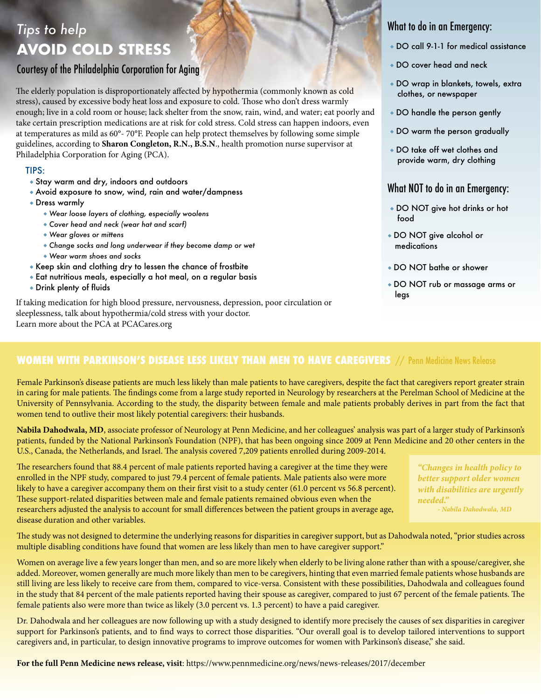## *Tips to help* **AVOID COLD STRESS**

## Courtesy of the Philadelphia Corporation for Aging

The elderly population is disproportionately affected by hypothermia (commonly known as cold stress), caused by excessive body heat loss and exposure to cold. Those who don't dress warmly enough; live in a cold room or house; lack shelter from the snow, rain, wind, and water; eat poorly and take certain prescription medications are at risk for cold stress. Cold stress can happen indoors, even at temperatures as mild as 60°- 70°F. People can help protect themselves by following some simple guidelines, according to **Sharon Congleton, R.N., B.S.N**., health promotion nurse supervisor at Philadelphia Corporation for Aging (PCA).

#### TIPS:

- ◆ Stay warm and dry, indoors and outdoors
- ◆ Avoid exposure to snow, wind, rain and water/dampness
- ◆ Dress warmly
	- ◆ *Wear loose layers of clothing, especially woolens*
	- ◆ *Cover head and neck (wear hat and scarf)*
	- ◆ *Wear gloves or mittens*
	- ◆ *Change socks and long underwear if they become damp or wet*
	- ◆ *Wear warm shoes and socks*
- ◆ Keep skin and clothing dry to lessen the chance of frostbite
- ◆ Eat nutritious meals, especially a hot meal, on a regular basis
- ◆ Drink plenty of fluids

If taking medication for high blood pressure, nervousness, depression, poor circulation or sleeplessness, talk about hypothermia/cold stress with your doctor. Learn more about the PCA at PCACares.org

## What to do in an Emergency:

- ◆ DO call 9-1-1 for medical assistance
- ◆ DO cover head and neck
- ◆ DO wrap in blankets, towels, extra clothes, or newspaper
- ◆ DO handle the person gently
- ◆ DO warm the person gradually
- ◆ DO take off wet clothes and provide warm, dry clothing

### What NOT to do in an Emergency:

- ◆ DO NOT give hot drinks or hot food
- ◆ DO NOT give alcohol or medications
- ◆ DO NOT bathe or shower
- ◆ DO NOT rub or massage arms or legs

## **WOMEN WITH PARKINSON'S DISEASE LESS LIKELY THAN MEN TO HAVE CAREGIVERS** // Penn Medicine News Release

Female Parkinson's disease patients are much less likely than male patients to have caregivers, despite the fact that caregivers report greater strain in caring for male patients. The findings come from a large study reported in Neurology by researchers at the Perelman School of Medicine at the University of Pennsylvania. According to the study, the disparity between female and male patients probably derives in part from the fact that women tend to outlive their most likely potential caregivers: their husbands.

**Nabila Dahodwala, MD**, associate professor of Neurology at Penn Medicine, and her colleagues' analysis was part of a larger study of Parkinson's patients, funded by the National Parkinson's Foundation (NPF), that has been ongoing since 2009 at Penn Medicine and 20 other centers in the U.S., Canada, the Netherlands, and Israel. The analysis covered 7,209 patients enrolled during 2009-2014.

The researchers found that 88.4 percent of male patients reported having a caregiver at the time they were enrolled in the NPF study, compared to just 79.4 percent of female patients. Male patients also were more likely to have a caregiver accompany them on their first visit to a study center (61.0 percent vs 56.8 percent). These support-related disparities between male and female patients remained obvious even when the researchers adjusted the analysis to account for small differences between the patient groups in average age, disease duration and other variables.

*"Changes in health policy to better support older women with disabilities are urgently needed." - Nabila Dahodwala, MD*

The study was not designed to determine the underlying reasons for disparities in caregiver support, but as Dahodwala noted, "prior studies across multiple disabling conditions have found that women are less likely than men to have caregiver support."

Women on average live a few years longer than men, and so are more likely when elderly to be living alone rather than with a spouse/caregiver, she added. Moreover, women generally are much more likely than men to be caregivers, hinting that even married female patients whose husbands are still living are less likely to receive care from them, compared to vice-versa. Consistent with these possibilities, Dahodwala and colleagues found in the study that 84 percent of the male patients reported having their spouse as caregiver, compared to just 67 percent of the female patients. The female patients also were more than twice as likely (3.0 percent vs. 1.3 percent) to have a paid caregiver.

Dr. Dahodwala and her colleagues are now following up with a study designed to identify more precisely the causes of sex disparities in caregiver support for Parkinson's patients, and to find ways to correct those disparities. "Our overall goal is to develop tailored interventions to support caregivers and, in particular, to design innovative programs to improve outcomes for women with Parkinson's disease," she said.

**For the full Penn Medicine news release, visit**: https://www.pennmedicine.org/news/news-releases/2017/december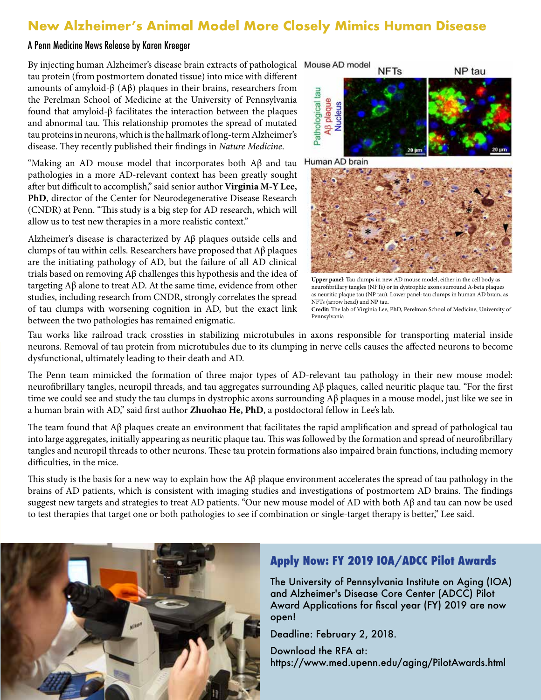## **New Alzheimer's Animal Model More Closely Mimics Human Disease**

#### A Penn Medicine News Release by Karen Kreeger

By injecting human Alzheimer's disease brain extracts of pathological tau protein (from postmortem donated tissue) into mice with different amounts of amyloid-β (Aβ) plaques in their brains, researchers from the Perelman School of Medicine at the University of Pennsylvania found that amyloid-β facilitates the interaction between the plaques and abnormal tau. This relationship promotes the spread of mutated tau proteins in neurons, which is the hallmark of long-term Alzheimer's disease. They recently published their findings in *Nature Medicine*.

"Making an AD mouse model that incorporates both  $A\beta$  and tau pathologies in a more AD-relevant context has been greatly sought after but difficult to accomplish," said senior author **Virginia M-Y Lee, PhD**, director of the Center for Neurodegenerative Disease Research (CNDR) at Penn. "This study is a big step for AD research, which will allow us to test new therapies in a more realistic context."

Alzheimer's disease is characterized by Aβ plaques outside cells and clumps of tau within cells. Researchers have proposed that Aβ plaques are the initiating pathology of AD, but the failure of all AD clinical trials based on removing Aβ challenges this hypothesis and the idea of targeting Aβ alone to treat AD. At the same time, evidence from other studies, including research from CNDR, strongly correlates the spread of tau clumps with worsening cognition in AD, but the exact link between the two pathologies has remained enigmatic.



Human AD brain



**Upper panel**: Tau clumps in new AD mouse model, either in the cell body as neurofibrillary tangles (NFTs) or in dystrophic axons surround A-beta plaques as neuritic plaque tau (NP tau). Lower panel: tau clumps in human AD brain, as NFTs (arrow head) and NP tau. **Credit:** The lab of Virginia Lee, PhD, Perelman School of Medicine, University of

Pennsylvania

Tau works like railroad track crossties in stabilizing microtubules in axons responsible for transporting material inside neurons. Removal of tau protein from microtubules due to its clumping in nerve cells causes the affected neurons to become dysfunctional, ultimately leading to their death and AD.

The Penn team mimicked the formation of three major types of AD-relevant tau pathology in their new mouse model: neurofibrillary tangles, neuropil threads, and tau aggregates surrounding Aβ plaques, called neuritic plaque tau. "For the first time we could see and study the tau clumps in dystrophic axons surrounding Aβ plaques in a mouse model, just like we see in a human brain with AD," said first author **Zhuohao He, PhD**, a postdoctoral fellow in Lee's lab.

The team found that  $\Lambda\beta$  plaques create an environment that facilitates the rapid amplification and spread of pathological tau into large aggregates, initially appearing as neuritic plaque tau. This was followed by the formation and spread of neurofibrillary tangles and neuropil threads to other neurons. These tau protein formations also impaired brain functions, including memory difficulties, in the mice.

This study is the basis for a new way to explain how the  $A\beta$  plaque environment accelerates the spread of tau pathology in the brains of AD patients, which is consistent with imaging studies and investigations of postmortem AD brains. The findings suggest new targets and strategies to treat AD patients. "Our new mouse model of AD with both Aβ and tau can now be used to test therapies that target one or both pathologies to see if combination or single-target therapy is better," Lee said.



## **Apply Now: FY 2019 IOA/ADCC Pilot Awards**

The University of Pennsylvania Institute on Aging (IOA) and Alzheimer's Disease Core Center (ADCC) Pilot Award Applications for fiscal year (FY) 2019 are now open!

Deadline: February 2, 2018.

Download the RFA at: https://www.med.upenn.edu/aging/PilotAwards.html